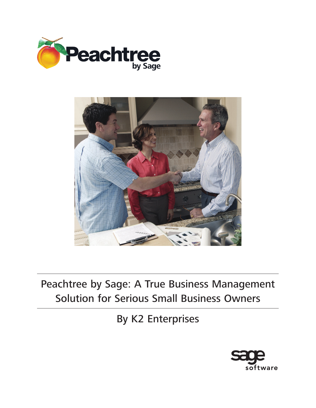



Peachtree by Sage: A True Business Management Solution for Serious Small Business Owners

By K2 Enterprises

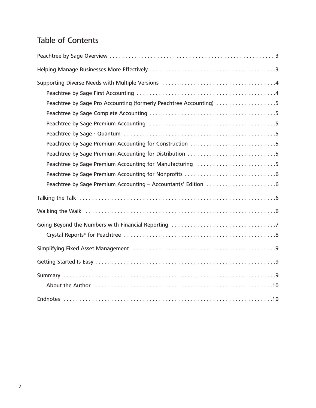# Table of Contents

| Peachtree by Sage Pro Accounting (formerly Peachtree Accounting) 5                                             |
|----------------------------------------------------------------------------------------------------------------|
|                                                                                                                |
|                                                                                                                |
|                                                                                                                |
| Peachtree by Sage Premium Accounting for Construction 5                                                        |
| Peachtree by Sage Premium Accounting for Distribution 5                                                        |
| Peachtree by Sage Premium Accounting for Manufacturing 5                                                       |
|                                                                                                                |
|                                                                                                                |
|                                                                                                                |
|                                                                                                                |
|                                                                                                                |
|                                                                                                                |
|                                                                                                                |
|                                                                                                                |
|                                                                                                                |
| About the Author (and according to the Author City, and according to the Author (and according to the Author C |
|                                                                                                                |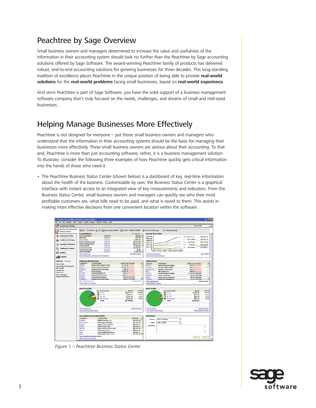## Peachtree by Sage Overview

Small business owners and managers determined to increase the value and usefulness of the information in their accounting system should look no further than the Peachtree by Sage accounting solutions offered by Sage Software. The award-winning Peachtree family of products has delivered robust, end-to-end accounting solutions for growing businesses for three decades. This long-standing tradition of excellence places Peachtree in the unique position of being able to provide **real-world solutions** for the **real-world problems** facing small businesses, based on **real-world experience**.

And since Peachtree is part of Sage Software, you have the solid support of a business management software company that's truly focused on the needs, challenges, and dreams of small and mid-sized businesses.

### Helping Manage Businesses More Effectively

Peachtree is not designed for everyone – just those small business owners and managers who understand that the information in their accounting systems should be the basis for managing their businesses more effectively. These small business owners are serious about their accounting. To that end, Peachtree is more than just accounting software; rather, it is a business management solution. To illustrate, consider the following three examples of how Peachtree quickly gets critical information into the hands of those who need it:

• The Peachtree Business Status Center (shown below) is a dashboard of key, real-time information about the health of the business. Customizable by user, the Business Status Center is a graphical interface with instant access to an integrated view of key measurements and indicators. From the Business Status Center, small business owners and managers can quickly see who their most profitable customers are, what bills need to be paid, and what is owed to them. This assists in making more effective decisions from one convenient location within the software.



Figure 1 – Peachtree Business Status Center

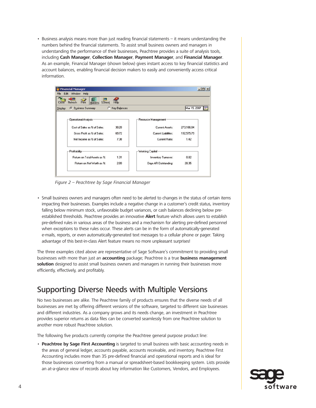• Business analysis means more than just reading financial statements – it means understanding the numbers behind the financial statements. To assist small business owners and managers in understanding the performance of their businesses, Peachtree provides a suite of analysis tools, including **Cash Manager**, **Collection Manager**, **Payment Manager**, and **Financial Manager**. As an example, Financial Manager (shown below) gives instant access to key financial statistics and account balances, enabling financial decision makers to easily and conveniently access critical information.

|              | <b>Financial Manager</b>                            |              |                      |              | $ \Box$ $\times$ |
|--------------|-----------------------------------------------------|--------------|----------------------|--------------|------------------|
| Edit<br>File | Window<br>Help                                      |              |                      |              |                  |
| Close        | $\rightarrow$<br>Print<br>Numeric SSheet<br>Refresh | Help         |                      |              |                  |
| Display:     | <b>6</b> Business Summary<br>C.                     | Key Balances |                      | Mar 15, 2007 | <b>Fax</b>       |
|              | Operational Analysis-                               |              | Resource Management  |              |                  |
|              | Cost of Sales as % of Sales:                        | 30.28        | Current Assets:      | 273.106.84   |                  |
|              | Gross Profit as % of Sales:                         | 69.72        | Current Liabilities: | 192,575.79   |                  |
|              | Net Income as % of Sales:                           | 7.38         | Current Ratio:       | 1.42         |                  |
|              | Profitability-                                      |              | - Working Capital    |              |                  |
|              | Return on Total Assets as %:                        | 1.31         | Inventory Turnover:  | 0.82         |                  |
|              | Return on Net Worth as %:                           | 2.09         | Days AR Outstanding: | 28.35        |                  |

Figure 2 – Peachtree by Sage Financial Manager

• Small business owners and managers often need to be alerted to changes in the status of certain items impacting their businesses. Examples include a negative change in a customer's credit status, inventory falling below minimum stock, unfavorable budget variances, or cash balances declining below preestablished thresholds. Peachtree provides an innovative **Alert** feature which allows users to establish pre-defined rules in various areas of the business and a mechanism for alerting pre-defined personnel when exceptions to these rules occur. These alerts can be in the form of automatically-generated e-mails, reports, or even automatically-generated text messages to a cellular phone or pager. Taking advantage of this best-in-class Alert feature means no more unpleasant surprises!

The three examples cited above are representative of Sage Software's commitment to providing small businesses with more than just an **accounting** package; Peachtree is a true **business management solution** designed to assist small business owners and managers in running their businesses more efficiently, effectively, and profitably.

### Supporting Diverse Needs with Multiple Versions

No two businesses are alike. The Peachtree family of products ensures that the diverse needs of all businesses are met by offering different versions of the software, targeted to different size businesses and different industries. As a company grows and its needs change, an investment in Peachtree provides superior returns as data files can be converted seamlessly from one Peachtree solution to another more robust Peachtree solution.

The following five products currently comprise the Peachtree general purpose product line:

• **Peachtree by Sage First Accounting** is targeted to small business with basic accounting needs in the areas of general ledger, accounts payable, accounts receivable, and inventory. Peachtree First Accounting includes more than 35 pre-defined financial and operational reports and is ideal for those businesses converting from a manual or spreadsheet-based bookkeeping system. Lists provide an at-a-glance view of records about key information like Customers, Vendors, and Employees.

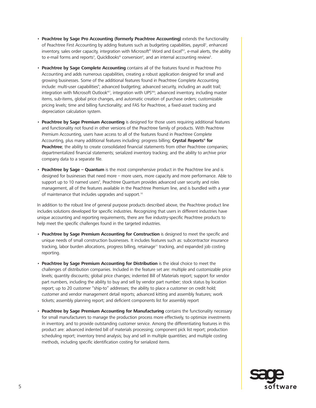- **Peachtree by Sage Pro Accounting (formerly Peachtree Accounting)** extends the functionality of Peachtree First Accounting by adding features such as budgeting capabilities, payroll', enhanced inventory, sales order capacity, integration with Microsoft® Word and Excel®2, e-mail alerts, the ability to e-mail forms and reports<sup>3</sup>, QuickBooks® conversion<sup>4</sup>, and an internal accounting review<sup>5</sup>.
- **Peachtree by Sage Complete Accounting** contains all of the features found in Peachtree Pro Accounting and adds numerous capabilities, creating a robust application designed for small and growing businesses. Some of the additional features found in Peachtree Complete Accounting include: multi-user capabilities<sup>s</sup>; advanced budgeting; advanced security, including an audit trail; integration with Microsoft Outlook®7, integration with UPS®8; advanced inventory, including master items, sub-items, global price changes, and automatic creation of purchase orders; customizable pricing levels; time and billing functionality; and FAS for Peachtree, a fixed-asset tracking and depreciation calculation system.
- **Peachtree by Sage Premium Accounting** is designed for those users requiring additional features and functionality not found in other versions of the Peachtree family of products. With Peachtree Premium Accounting, users have access to all of the features found in Peachtree Complete Accounting, plus many additional features including: progress billing; **Crystal Reports® for Peachtree**; the ability to create consolidated financial statements from other Peachtree companies; departmentalized financial statements; serialized inventory tracking; and the ability to archive prior company data to a separate file.
- **Peachtree by Sage Quantum** is the most comprehensive product in the Peachtree line and is designed for businesses that need more – more users, more capacity and more performance. Able to support up to 10 named users<sup>9</sup>, Peachtree Quantum provides advanced user security and roles management, all of the features available in the Peachtree Premium line, and is bundled with a year of maintenance that includes upgrades and support.<sup>10</sup>

In addition to the robust line of general purpose products described above, the Peachtree product line includes solutions developed for specific industries. Recognizing that users in different industries have unique accounting and reporting requirements, there are five industry-specific Peachtree products to help meet the specific challenges found in the targeted industries.

- **Peachtree by Sage Premium Accounting for Construction** is designed to meet the specific and unique needs of small construction businesses. It includes features such as: subcontractor insurance tracking, labor burden allocations, progress billing, retainage<sup>11</sup> tracking, and expanded job costing reporting.
- **Peachtree by Sage Premium Accounting for Distribution** is the ideal choice to meet the challenges of distribution companies. Included in the feature set are: multiple and customizable price levels; quantity discounts; global price changes; indented Bill of Materials report; support for vendor part numbers, including the ability to buy and sell by vendor part number; stock status by location report; up to 20 customer "ship-to" addresses; the ability to place a customer on credit hold; customer and vendor management detail reports; advanced kitting and assembly features; work tickets; assembly planning report; and deficient components list for assembly report
- **Peachtree by Sage Premium Accounting for Manufacturing** contains the functionality necessary for small manufacturers to manage the production process more effectively, to optimize investments in inventory, and to provide outstanding customer service. Among the differentiating features in this product are: advanced indented bill of materials processing; component pick list report; production scheduling report; inventory trend analysis; buy and sell in multiple quantities; and multiple costing methods, including specific identification costing for serialized items.

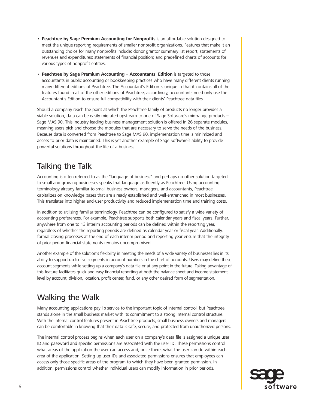- **Peachtree by Sage Premium Accounting for Nonprofits** is an affordable solution designed to meet the unique reporting requirements of smaller nonprofit organizations. Features that make it an outstanding choice for many nonprofits include: donor grantor summary list report; statements of revenues and expenditures; statements of financial position; and predefined charts of accounts for various types of nonprofit entities.
- **Peachtree by Sage Premium Accounting Accountants' Edition** is targeted to those accountants in public accounting or bookkeeping practices who have many different clients running many different editions of Peachtree. The Accountant's Edition is unique in that it contains all of the features found in all of the other editions of Peachtree; accordingly, accountants need only use the Accountant's Edition to ensure full compatibility with their clients' Peachtree data files.

Should a company reach the point at which the Peachtree family of products no longer provides a viable solution, data can be easily migrated upstream to one of Sage Software's mid-range products – Sage MAS 90. This industry-leading business management solution is offered in 26 separate modules, meaning users pick and choose the modules that are necessary to serve the needs of the business. Because data is converted from Peachtree to Sage MAS 90, implementation time is minimized and access to prior data is maintained. This is yet another example of Sage Software's ability to provide powerful solutions throughout the life of a business.

### Talking the Talk

Accounting is often referred to as the "language of business" and perhaps no other solution targeted to small and growing businesses speaks that language as fluently as Peachtree. Using accounting terminology already familiar to small business owners, managers, and accountants, Peachtree capitalizes on knowledge bases that are already established and well-entrenched in most businesses. This translates into higher end-user productivity and reduced implementation time and training costs.

In addition to utilizing familiar terminology, Peachtree can be configured to satisfy a wide variety of accounting preferences. For example, Peachtree supports both calendar years and fiscal years. Further, anywhere from one to 13 interim accounting periods can be defined within the reporting year, regardless of whether the reporting periods are defined as calendar year or fiscal year. Additionally, formal closing processes at the end of each interim period and reporting year ensure that the integrity of prior period financial statements remains uncompromised.

Another example of the solution's flexibility in meeting the needs of a wide variety of businesses lies in its ability to support up to five segments in account numbers in the chart of accounts. Users may define these account segments while setting up a company's data file or at any point in the future. Taking advantage of this feature facilitates quick and easy financial reporting at both the balance sheet and income statement level by account, division, location, profit center, fund, or any other desired form of segmentation.

## Walking the Walk

Many accounting applications pay lip service to the important topic of internal control, but Peachtree stands alone in the small business market with its commitment to a strong internal control structure. With the internal control features present in Peachtree products, small business owners and managers can be comfortable in knowing that their data is safe, secure, and protected from unauthorized persons.

The internal control process begins when each user on a company's data file is assigned a unique user ID and password and specific permissions are associated with the user ID. These permissions control what areas of the application the user can access and, once there, what the user can do within each area of the application. Setting up user IDs and associated permissions ensures that employees can access only those specific areas of the program to which they have been granted permission. In addition, permissions control whether individual users can modify information in prior periods.

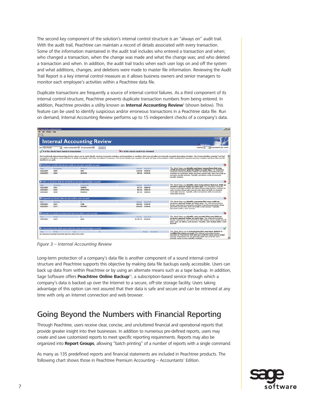The second key component of the solution's internal control structure is an "always on" audit trail. With the audit trail, Peachtree can maintain a record of details associated with every transaction. Some of the information maintained in the audit trail includes who entered a transaction and when; who changed a transaction, when the change was made and what the change was; and who deleted a transaction and when. In addition, the audit trail tracks when each user logs on and off the system and what additions, changes, and deletions were made to master file information. Reviewing the Audit Trail Report is a key internal control measure as it allows business owners and senior managers to monitor each employee's activities within a Peachtree data file.

Duplicate transactions are frequently a source of internal control failures. As a third component of its internal control structure, Peachtree prevents duplicate transaction numbers from being entered. In addition, Peachtree provides a utility known as **Internal Accounting Review**<sup>5</sup> (shown below). This feature can be used to identify suspicious and/or erroneous transactions in a Peachtree data file. Run on demand, Internal Accounting Review performs up to 15 independent checks of a company's data.

|                         | <b>Internal Accounting Review</b>                                    |                                                                                                     |       |                                     |                              | $  n  \times$                                                                                                                                                                                                                                                                                                                                                                                                                                                    |  |
|-------------------------|----------------------------------------------------------------------|-----------------------------------------------------------------------------------------------------|-------|-------------------------------------|------------------------------|------------------------------------------------------------------------------------------------------------------------------------------------------------------------------------------------------------------------------------------------------------------------------------------------------------------------------------------------------------------------------------------------------------------------------------------------------------------|--|
| File Edit Window Help   |                                                                      |                                                                                                     |       |                                     |                              |                                                                                                                                                                                                                                                                                                                                                                                                                                                                  |  |
| 日日                      |                                                                      |                                                                                                     |       |                                     |                              |                                                                                                                                                                                                                                                                                                                                                                                                                                                                  |  |
|                         |                                                                      | <b>Internal Accounting Review</b>                                                                   |       |                                     |                              | C. How do I                                                                                                                                                                                                                                                                                                                                                                                                                                                      |  |
| For: This Period        |                                                                      | From: 03/01/2007 To: 03/31/2007 M                                                                   | Apply |                                     |                              | Display 20<br>I tramactions per check                                                                                                                                                                                                                                                                                                                                                                                                                            |  |
|                         | 9 of the checks have found no transactions                           |                                                                                                     |       | 6 of the checks need to be reviewed |                              |                                                                                                                                                                                                                                                                                                                                                                                                                                                                  |  |
| identified in an audit. |                                                                      |                                                                                                     |       |                                     |                              | The Peachtreeth Internal Accounting Review allows you to easily identify common transaction mistakes and transactions or conditions that may not adhere to Generally Accepted Accounting Principles. The Review identifies pot<br>transactions, and allows you to drill down to detail, investigate, and make corrections if necessary. The Review checks your company for up to 15 types of transactions and/or postings that represent common mistakes and ite |  |
|                         |                                                                      | Purchases or bills that do not credit an accounts payable account                                   |       |                                     |                              |                                                                                                                                                                                                                                                                                                                                                                                                                                                                  |  |
| Dahal.                  | Purchwoodles,                                                        | Version ID                                                                                          |       | Amount.                             | Arrest ID                    | This check helps you identify purchase transactions that may                                                                                                                                                                                                                                                                                                                                                                                                     |  |
| 03/15/2007              | 10045                                                                | GARY                                                                                                |       | \$150.00                            | 24700-00                     | credit an incorrect general ledger account type. For companies                                                                                                                                                                                                                                                                                                                                                                                                   |  |
| 03/15/2007              | 10046                                                                | <b>JACKSON</b>                                                                                      |       |                                     | \$50.00 24700-00             | using the accrual accounting method, the Internal Accounting Review<br>searches for purchases whose purchase journal entry does not credit an<br>accounts payable account. Typically, purchases credit an accounts<br>payable account.                                                                                                                                                                                                                           |  |
| Date<br>03/14/2007      | <b>Invoice No.</b><br>10341                                          | Sales or invoices that do not debit an accounts receivable account<br><b>Customer 1D</b><br>CHAPPLE |       | Amount.<br>\$37.10                  | Account ID<br>10000-00       | This check helps you identify sales transactions that may debit an<br>incorrect general ledger account type. For companies using the<br>accrual accounting method, the Internal Accounting Review searches for                                                                                                                                                                                                                                                   |  |
| 03/15/2007<br>ushshup   | 10339<br>1005941                                                     | <b>ARMSTRONG</b><br>FRANCI IN                                                                       |       | \$53.00                             | 10000 00<br>\$37.45 10000-00 | sales invoices whose sales journal entry does not debit an accounts<br>receivable account. Typically, sales transactions debit an accounts<br>receivable account.                                                                                                                                                                                                                                                                                                |  |
|                         |                                                                      | ■ Payments or checks that do not credit a cash account                                              |       |                                     |                              |                                                                                                                                                                                                                                                                                                                                                                                                                                                                  |  |
| Date:                   | Check No.                                                            | ID                                                                                                  |       | Amount.                             | Account ID                   | This check helps you identify payments that may credit an<br>incorrect oeneral ledger account type. The Internal Accounting                                                                                                                                                                                                                                                                                                                                      |  |
| 03/15/2007              | 10219                                                                | <b>CLINE</b>                                                                                        |       | \$100.00                            | 11400-00                     | Review searches for payments and time of purchase payments whose                                                                                                                                                                                                                                                                                                                                                                                                 |  |
| us/is/zup/              | 100714                                                               | <b>HAWKIRPS</b>                                                                                     |       |                                     | \$100,00 11400-00            | payment journal entry does not credit a cash account. Typically,<br>payments credit a cash account.                                                                                                                                                                                                                                                                                                                                                              |  |
|                         |                                                                      | $\blacksquare$ Receipts or money received that does not debit a cash account                        |       |                                     |                              |                                                                                                                                                                                                                                                                                                                                                                                                                                                                  |  |
| <b>Date</b>             | Rof No.                                                              | ID:                                                                                                 |       |                                     | Allount Account ID           | This chack halps you identify cash receipts that may debit an                                                                                                                                                                                                                                                                                                                                                                                                    |  |
| us/is/zup               | 102313                                                               | DASH                                                                                                |       | \$1,292,10 61500-00                 |                              | incorrect general ledger account type. The Internal Accounting<br>Review searches for cash and time of sale receipts whose receipt journal<br>entry does not debit a cash account. Typically, cash receipts debit a cash<br>account.                                                                                                                                                                                                                             |  |
|                         |                                                                      | Transactions that debit and credit the same general ledger account                                  |       |                                     |                              |                                                                                                                                                                                                                                                                                                                                                                                                                                                                  |  |
| Dahir                   | Duf No.                                                              | Type                                                                                                | ID    |                                     | Armourd: Account ID          | This check alerts you to transactions that may have debited or                                                                                                                                                                                                                                                                                                                                                                                                   |  |
|                         | No transactions have been found that meet the otheria of this check. |                                                                                                     |       |                                     |                              | credited the wrong account. The Internal Accounting Review<br>searches for transactions that debit and credit the same general ledger<br>account. Transactions do not generally debit and credit the same<br>٠<br>account: doing so may indicate a mistake.                                                                                                                                                                                                      |  |

Figure 3 – Internal Accounting Review

Long-term protection of a company's data file is another component of a sound internal control structure and Peachtree supports this objective by making data file backups easily accessible. Users can back up data from within Peachtree or by using an alternate means such as a tape backup. In addition, Sage Software offers **Peachtree Online Backup**<sup>12</sup>, a subscription-based service through which a company's data is backed up over the Internet to a secure, off-site storage facility. Users taking advantage of this option can rest assured that their data is safe and secure and can be retrieved at any time with only an Internet connection and web browser.

### Going Beyond the Numbers with Financial Reporting

Through Peachtree, users receive clear, concise, and uncluttered financial and operational reports that provide greater insight into their businesses. In addition to numerous pre-defined reports, users may create and save customized reports to meet specific reporting requirements. Reports may also be organized into **Report Groups**, allowing "batch printing" of a number of reports with a single command.

As many as 135 predefined reports and financial statements are included in Peachtree products. The following chart shows those in Peachtree Premium Accounting – Accountants' Edition.

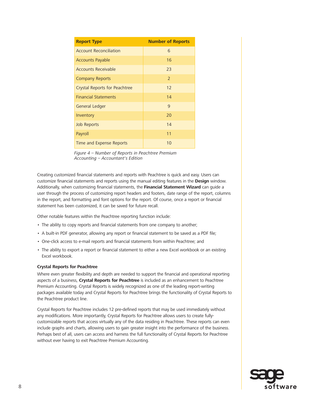| <b>Report Type</b>            | <b>Number of Reports</b> |
|-------------------------------|--------------------------|
| <b>Account Reconciliation</b> | 6                        |
| <b>Accounts Payable</b>       | 16                       |
| <b>Accounts Receivable</b>    | 23                       |
| <b>Company Reports</b>        | $\overline{2}$           |
| Crystal Reports for Peachtree | 12                       |
| <b>Financial Statements</b>   | 14                       |
| <b>General Ledger</b>         | 9                        |
| Inventory                     | 20                       |
| <b>Job Reports</b>            | 14                       |
| Payroll                       | 11                       |
| Time and Expense Reports      | 10                       |

Figure 4 – Number of Reports in Peachtree Premium Accounting – Accountant's Edition

Creating customized financial statements and reports with Peachtree is quick and easy. Users can customize financial statements and reports using the manual editing features in the **Design** window. Additionally, when customizing financial statements, the **Financial Statement Wizard** can guide a user through the process of customizing report headers and footers, date range of the report, columns in the report, and formatting and font options for the report. Of course, once a report or financial statement has been customized, it can be saved for future recall.

Other notable features within the Peachtree reporting function include:

- The ability to copy reports and financial statements from one company to another;
- A built-in PDF generator, allowing any report or financial statement to be saved as a PDF file;
- One-click access to e-mail reports and financial statements from within Peachtree; and
- The ability to export a report or financial statement to either a new Excel workbook or an existing Excel workbook.

#### **Crystal Reports for Peachtree**

Where even greater flexibility and depth are needed to support the financial and operational reporting aspects of a business, **Crystal Reports for Peachtree** is included as an enhancement to Peachtree Premium Accounting. Crystal Reports is widely recognized as one of the leading report-writing packages available today and Crystal Reports for Peachtree brings the functionality of Crystal Reports to the Peachtree product line.

Crystal Reports for Peachtree includes 12 pre-defined reports that may be used immediately without any modifications. More importantly, Crystal Reports for Peachtree allows users to create fullycustomizable reports that access virtually any of the data residing in Peachtree. These reports can even include graphs and charts, allowing users to gain greater insight into the performance of the business. Perhaps best of all, users can access and harness the full functionality of Crystal Reports for Peachtree without ever having to exit Peachtree Premium Accounting.

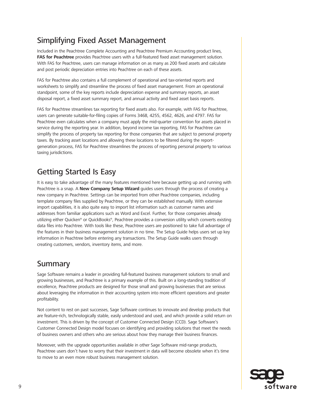## Simplifying Fixed Asset Management

Included in the Peachtree Complete Accounting and Peachtree Premium Accounting product lines, **FAS for Peachtree** provides Peachtree users with a full-featured fixed asset management solution. With FAS for Peachtree, users can manage information on as many as 200 fixed assets and calculate and post periodic depreciation entries into Peachtree on each of these assets.

FAS for Peachtree also contains a full complement of operational and tax-oriented reports and worksheets to simplify and streamline the process of fixed asset management. From an operational standpoint, some of the key reports include depreciation expense and summary reports, an asset disposal report, a fixed asset summary report, and annual activity and fixed asset basis reports.

FAS for Peachtree streamlines tax reporting for fixed assets also. For example, with FAS for Peachtree, users can generate suitable-for-filing copies of Forms 3468, 4255, 4562, 4626, and 4797. FAS for Peachtree even calculates when a company must apply the mid-quarter convention for assets placed in service during the reporting year. In addition, beyond income tax reporting, FAS for Peachtree can simplify the process of property tax reporting for those companies that are subject to personal property taxes. By tracking asset locations and allowing these locations to be filtered during the reportgeneration process, FAS for Peachtree streamlines the process of reporting personal property to various taxing jurisdictions.

## Getting Started Is Easy

It is easy to take advantage of the many features mentioned here because getting up and running with Peachtree is a snap. A **New Company Setup Wizard** guides users through the process of creating a new company in Peachtree. Settings can be imported from other Peachtree companies, including template company files supplied by Peachtree, or they can be established manually. With extensive import capabilities, it is also quite easy to import list information such as customer names and addresses from familiar applications such as Word and Excel. Further, for those companies already utilizing either Quicken® or QuickBooks®, Peachtree provides a conversion utility which converts existing data files into Peachtree. With tools like these, Peachtree users are positioned to take full advantage of the features in their business management solution in no time. The Setup Guide helps users set up key information in Peachtree before entering any transactions. The Setup Guide walks users through creating customers, vendors, inventory items, and more.

### Summary

Sage Software remains a leader in providing full-featured business management solutions to small and growing businesses, and Peachtree is a primary example of this. Built on a long-standing tradition of excellence, Peachtree products are designed for those small and growing businesses that are serious about leveraging the information in their accounting system into more efficient operations and greater profitability.

Not content to rest on past successes, Sage Software continues to innovate and develop products that are feature-rich, technologically stable, easily understood and used, and which provide a solid return on investment. This is driven by the concept of Customer Connected Design (CCD). Sage Software's Customer Connected Design model focuses on identifying and providing solutions that meet the needs of business owners and others who are serious about how they manage their business finances.

Moreover, with the upgrade opportunities available in other Sage Software mid-range products, Peachtree users don't have to worry that their investment in data will become obsolete when it's time to move to an even more robust business management solution.

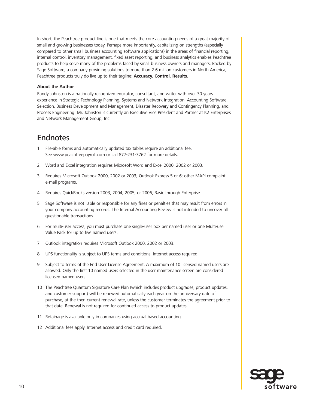In short, the Peachtree product line is one that meets the core accounting needs of a great majority of small and growing businesses today. Perhaps more importantly, capitalizing on strengths (especially compared to other small business accounting software applications) in the areas of financial reporting, internal control, inventory management, fixed asset reporting, and business analytics enables Peachtree products to help solve many of the problems faced by small business owners and managers. Backed by Sage Software, a company providing solutions to more than 2.6 million customers in North America, Peachtree products truly do live up to their tagline: **Accuracy. Control. Results.**

#### **About the Author**

Randy Johnston is a nationally recognized educator, consultant, and writer with over 30 years experience in Strategic Technology Planning, Systems and Network Integration, Accounting Software Selection, Business Development and Management, Disaster Recovery and Contingency Planning, and Process Engineering. Mr. Johnston is currently an Executive Vice President and Partner at K2 Enterprises and Network Management Group, Inc.

### **Endnotes**

- 1 File-able forms and automatically updated tax tables require an additional fee. See www.peachtreepayroll.com or call 877-231-3762 for more details.
- 2 Word and Excel integration requires Microsoft Word and Excel 2000, 2002 or 2003.
- 3 Requires Microsoft Outlook 2000, 2002 or 2003; Outlook Express 5 or 6; other MAPI complaint e-mail programs.
- 4 Requires QuickBooks version 2003, 2004, 2005, or 2006, Basic through Enterprise.
- 5 Sage Software is not liable or responsible for any fines or penalties that may result from errors in your company accounting records. The Internal Accounting Review is not intended to uncover all questionable transactions.
- 6 For multi-user access, you must purchase one single-user box per named user or one Multi-use Value Pack for up to five named users.
- 7 Outlook integration requires Microsoft Outlook 2000, 2002 or 2003.
- 8 UPS functionality is subject to UPS terms and conditions. Internet access required.
- 9 Subject to terms of the End User License Agreement. A maximum of 10 licensed named users are allowed. Only the first 10 named users selected in the user maintenance screen are considered licensed named users.
- 10 The Peachtree Quantum Signature Care Plan (which includes product upgrades, product updates, and customer support) will be renewed automatically each year on the anniversary date of purchase, at the then current renewal rate, unless the customer terminates the agreement prior to that date. Renewal is not required for continued access to product updates.
- 11 Retainage is available only in companies using accrual based accounting.
- 12 Additional fees apply. Internet access and credit card required.